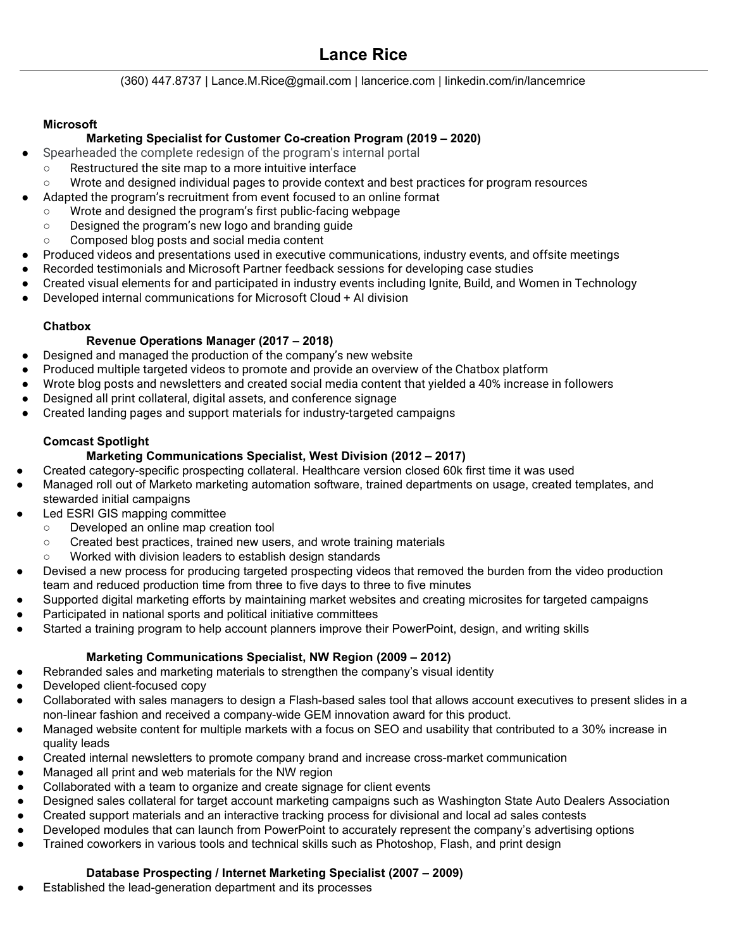## **Lance Rice**

(360) 447.8737 | Lance.M.Rice@gmail.com | lancerice.com | linkedin.com/in/lancemrice

#### **Microsoft**

#### **Marketing Specialist for Customer Co-creation Program (2019 – 2020)**

- Spearheaded the complete redesign of the program's internal portal
- Restructured the site map to a more intuitive interface
- Wrote and designed individual pages to provide context and best practices for program resources
- Adapted the program's recruitment from event focused to an online format
	- Wrote and designed the program's first public-facing webpage
	- Designed the program's new logo and branding guide
	- Composed blog posts and social media content
- Produced videos and presentations used in executive communications, industry events, and offsite meetings
- Recorded testimonials and Microsoft Partner feedback sessions for developing case studies
- Created visual elements for and participated in industry events including Ignite, Build, and Women in Technology
- Developed internal communications for Microsoft Cloud + AI division

#### **Chatbox**

#### **Revenue Operations Manager (2017 – 2018)**

- Designed and managed the production of the company's new website
- Produced multiple targeted videos to promote and provide an overview of the Chatbox platform
- Wrote blog posts and newsletters and created social media content that yielded a 40% increase in followers
- Designed all print collateral, digital assets, and conference signage
- Created landing pages and support materials for industry-targeted campaigns

### **Comcast Spotlight**

### **Marketing Communications Specialist, West Division (2012 – 2017)**

- Created category-specific prospecting collateral. Healthcare version closed 60k first time it was used
- Managed roll out of Marketo marketing automation software, trained departments on usage, created templates, and stewarded initial campaigns
- Led ESRI GIS mapping committee
	- Developed an online map creation tool
	- Created best practices, trained new users, and wrote training materials
	- Worked with division leaders to establish design standards
- Devised a new process for producing targeted prospecting videos that removed the burden from the video production team and reduced production time from three to five days to three to five minutes
- Supported digital marketing efforts by maintaining market websites and creating microsites for targeted campaigns
- Participated in national sports and political initiative committees
- Started a training program to help account planners improve their PowerPoint, design, and writing skills

### **Marketing Communications Specialist, NW Region (2009 – 2012)**

- Rebranded sales and marketing materials to strengthen the company's visual identity
- Developed client-focused copy
- Collaborated with sales managers to design a Flash-based sales tool that allows account executives to present slides in a non-linear fashion and received a company-wide GEM innovation award for this product.
- Managed website content for multiple markets with a focus on SEO and usability that contributed to a 30% increase in quality leads
- Created internal newsletters to promote company brand and increase cross-market communication
- Managed all print and web materials for the NW region
- Collaborated with a team to organize and create signage for client events
- Designed sales collateral for target account marketing campaigns such as Washington State Auto Dealers Association
- Created support materials and an interactive tracking process for divisional and local ad sales contests
- Developed modules that can launch from PowerPoint to accurately represent the company's advertising options
- Trained coworkers in various tools and technical skills such as Photoshop, Flash, and print design

### **Database Prospecting / Internet Marketing Specialist (2007 – 2009)**

Established the lead-generation department and its processes